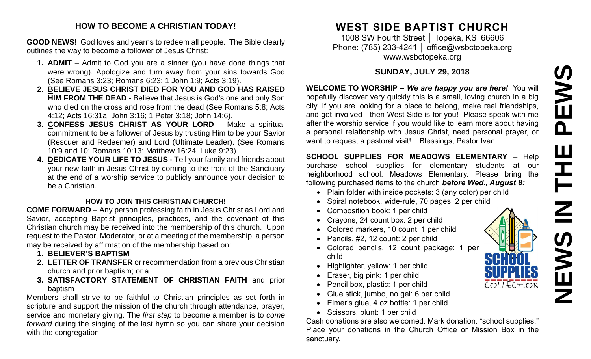# PEWS **NEWS IN THE PEWS**Ш ᅩ **SWEN**

COLLECTION

#### **HOW TO BECOME A CHRISTIAN TODAY!**

**GOOD NEWS!** God loves and yearns to redeem all people. The Bible clearly outlines the way to become a follower of Jesus Christ:

- **1. ADMIT** Admit to God you are a sinner (you have done things that were wrong). Apologize and turn away from your sins towards God (See Romans 3:23; Romans 6:23; 1 John 1:9; Acts 3:19).
- **2. BELIEVE JESUS CHRIST DIED FOR YOU AND GOD HAS RAISED HIM FROM THE DEAD -** Believe that Jesus is God's one and only Son who died on the cross and rose from the dead (See Romans 5:8; Acts 4:12; Acts 16:31a; John 3:16; 1 Peter 3:18; John 14:6).
- **3. CONFESS JESUS CHRIST AS YOUR LORD –** Make a spiritual commitment to be a follower of Jesus by trusting Him to be your Savior (Rescuer and Redeemer) and Lord (Ultimate Leader). (See Romans 10:9 and 10; Romans 10:13; Matthew 16:24; Luke 9:23)
- **4. DEDICATE YOUR LIFE TO JESUS -** Tell your family and friends about your new faith in Jesus Christ by coming to the front of the Sanctuary at the end of a worship service to publicly announce your decision to be a Christian.

#### **HOW TO JOIN THIS CHRISTIAN CHURCH!**

**COME FORWARD** – Any person professing faith in Jesus Christ as Lord and Savior, accepting Baptist principles, practices, and the covenant of this Christian church may be received into the membership of this church. Upon request to the Pastor, Moderator, or at a meeting of the membership, a person may be received by affirmation of the membership based on:

- **1. BELIEVER'S BAPTISM**
- **2. LETTER OF TRANSFER** or recommendation from a previous Christian church and prior baptism; or a
- **3. SATISFACTORY STATEMENT OF CHRISTIAN FAITH** and prior baptism

Members shall strive to be faithful to Christian principles as set forth in scripture and support the mission of the church through attendance, prayer, service and monetary giving. The *first step* to become a member is to *come forward* during the singing of the last hymn so you can share your decision with the congregation.

## **WEST SIDE BAPTIST CHURCH**

1008 SW Fourth Street │ Topeka, KS 66606 Phone: (785) 233-4241 | [office@wsbctopeka.org](mailto:office@wsbctopeka.org) [www.wsbctopeka.org](http://www.wsbctopeka.org/)

#### **SUNDAY, JULY 29, 2018**

**WELCOME TO WORSHIP –** *We are happy you are here!* You will hopefully discover very quickly this is a small, loving church in a big city. If you are looking for a place to belong, make real friendships, and get involved - then West Side is for you! Please speak with me after the worship service if you would like to learn more about having a personal relationship with Jesus Christ, need personal prayer, or want to request a pastoral visit! Blessings, Pastor Ivan.

**SCHOOL SUPPLIES FOR MEADOWS ELEMENTARY** – Help purchase school supplies for elementary students at our neighborhood school: Meadows Elementary. Please bring the following purchased items to the church *before Wed., August 8:*

- Plain folder with inside pockets: 3 (any color) per child
- Spiral notebook, wide-rule, 70 pages: 2 per child
- Composition book: 1 per child
- Crayons, 24 count box: 2 per child
- Colored markers, 10 count: 1 per child
- Pencils, #2, 12 count: 2 per child
- Colored pencils, 12 count package: 1 per child
- Highlighter, yellow: 1 per child
- Eraser, big pink: 1 per child
- Pencil box, plastic: 1 per child
- Glue stick, jumbo, no gel: 6 per child
- Elmer's glue, 4 oz bottle: 1 per child
- Scissors, blunt: 1 per child

Cash donations are also welcomed. Mark donation: "school supplies." Place your donations in the Church Office or Mission Box in the sanctuary.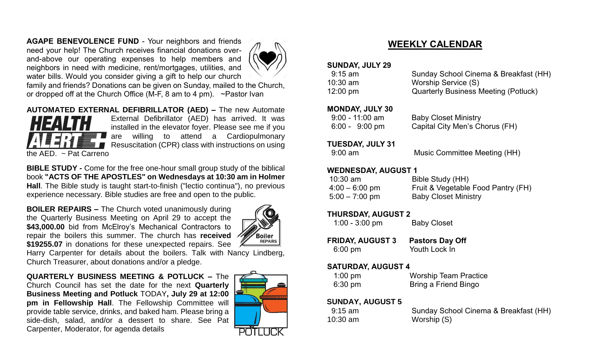**AGAPE BENEVOLENCE FUND** - Your neighbors and friends need your help! The Church receives financial donations overand-above our operating expenses to help members and neighbors in need with medicine, rent/mortgages, utilities, and water bills. Would you consider giving a gift to help our church



family and friends? Donations can be given on Sunday, mailed to the Church, or dropped off at the Church Office (M-F, 8 am to 4 pm). ~Pastor Ivan

**AUTOMATED EXTERNAL DEFIBRILLATOR (AED) –** The new Automate



External Defibrillator (AED) has arrived. It was installed in the elevator foyer. Please see me if you are willing to attend a Cardiopulmonary Resuscitation (CPR) class with instructions on using

**BIBLE STUDY -** Come for the free one-hour small group study of the biblical book **"ACTS OF THE APOSTLES" on Wednesdays at 10:30 am in Holmer Hall**. The Bible study is taught start-to-finish ("lectio continua"), no previous experience necessary. Bible studies are free and open to the public.

**BOILER REPAIRS –** The Church voted unanimously during the Quarterly Business Meeting on April 29 to accept the \$43,000.00 bid from McElroy's Mechanical Contractors to repair the boilers this summer. The church has **received \$19255.07** in donations for these unexpected repairs. See



Harry Carpenter for details about the boilers. Talk with Nancy Lindberg, Church Treasurer, about donations and/or a pledge.

**QUARTERLY BUSINESS MEETING & POTLUCK –** The Church Council has set the date for the next **Quarterly Business Meeting and Potluck** TODAY**, July 29 at 12:00 pm in Fellowship Hall**. The Fellowship Committee will provide table service, drinks, and baked ham. Please bring a side-dish, salad, and/or a dessert to share. See Pat Carpenter, Moderator, for agenda details



## **WEEKLY CALENDAR**

#### **SUNDAY, JULY 29**

| 9:15 am            | Sunday School Cinema & Breakfast (HH)       |
|--------------------|---------------------------------------------|
| 10:30 am           | Worship Service (S)                         |
| $12:00 \text{ pm}$ | <b>Quarterly Business Meeting (Potluck)</b> |

#### **MONDAY, JULY 30**

| $9:00 - 11:00$ am        | <b>Baby Closet Ministry</b>    |
|--------------------------|--------------------------------|
| $6:00 - 9:00 \text{ pm}$ | Capital City Men's Chorus (FH) |

#### **TUESDAY, JULY 31**

#### **WEDNESDAY, AUGUST 1**

| $10:30$ am       | Bible Study (HH)                   |
|------------------|------------------------------------|
| $4:00 - 6:00$ pm | Fruit & Vegetable Food Pantry (FH) |
| $5:00 - 7:00$ pm | <b>Baby Closet Ministry</b>        |

#### **THURSDAY, AUGUST 2**

| $1:00 - 3:00$ pm | <b>Baby Closet</b> |
|------------------|--------------------|
|------------------|--------------------|

| <b>FRIDAY, AUGUST 3</b> | <b>Pastors Day Off</b> |
|-------------------------|------------------------|
| $6:00 \text{ pm}$       | Youth Lock In          |

#### **SATURDAY, AUGUST 4**

| $1:00 \text{ pm}$ | <b>Worship Team Practice</b> |
|-------------------|------------------------------|
| $6:30 \text{ pm}$ | Bring a Friend Bingo         |

#### **SUNDAY, AUGUST 5**

| $9:15$ am | Sunday School Cinema & Breakfast (HH) |
|-----------|---------------------------------------|
| 10:30 am  | Worship (S)                           |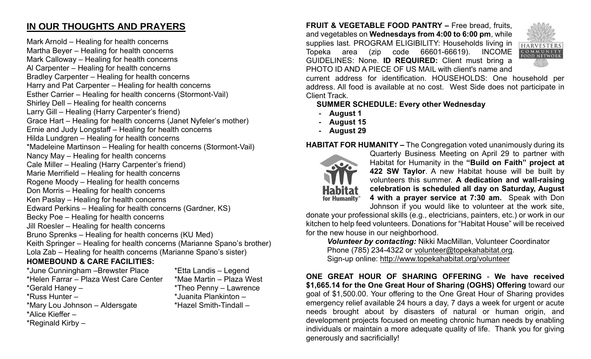## **IN OUR THOUGHTS AND PRAYERS**

Mark Arnold – Healing for health concerns Martha Beyer – Healing for health concerns Mark Calloway – Healing for health concerns Al Carpenter – Healing for health concerns Bradley Carpenter – Healing for health concerns Harry and Pat Carpenter – Healing for health concerns Esther Carrier – Healing for health concerns (Stormont-Vail) Shirley Dell – Healing for health concerns Larry Gill – Healing (Harry Carpenter's friend) Grace Hart – Healing for health concerns (Janet Nyfeler's mother) Ernie and Judy Longstaff – Healing for health concerns Hilda Lundgren – Healing for health concerns \*Madeleine Martinson – Healing for health concerns (Stormont-Vail) Nancy May – Healing for health concerns Cale Miller – Healing (Harry Carpenter's friend) Marie Merrifield – Healing for health concerns Rogene Moody – Healing for health concerns Don Morris – Healing for health concerns Ken Paslay – Healing for health concerns Edward Perkins – Healing for health concerns (Gardner, KS) Becky Poe – Healing for health concerns Jill Roesler – Healing for health concerns Bruno Sprenks – Healing for health concerns (KU Med) Keith Springer – Healing for health concerns (Marianne Spano's brother) Lola Zab – Healing for health concerns (Marianne Spano's sister)

### **HOMEBOUND & CARE FACILITIES:**

- \*June Cunningham –Brewster Place \*Etta Landis Legend \*Helen Farrar – Plaza West Care Center \*Mae Martin – Plaza West \*Gerald Haney – \*Theo Penny – Lawrence \*Russ Hunter – \*Juanita Plankinton – \*Mary Lou Johnson – Aldersgate \*Hazel Smith-Tindall – \*Alice Kieffer –
- \*Reginald Kirby –

**FRUIT & VEGETABLE FOOD PANTRY –** Free bread, fruits, and vegetables on **Wednesdays from 4:00 to 6:00 pm**, while supplies last. PROGRAM ELIGIBILITY: Households living in Topeka area (zip code 66601-66619). INCOME GUIDELINES: None. **ID REQUIRED:** Client must bring a PHOTO ID AND A PIECE OF US MAIL with client's name and



current address for identification. HOUSEHOLDS: One household per address. All food is available at no cost. West Side does not participate in Client Track.

#### **SUMMER SCHEDULE: Every other Wednesday**

- **- August 1**
- **- August 15**
- **- August 29**

#### **HABITAT FOR HUMANITY –** The Congregation voted unanimously during its



Quarterly Business Meeting on April 29 to partner with Habitat for Humanity in the **"Build on Faith" project at 422 SW Taylor**. A new Habitat house will be built by volunteers this summer. **A dedication and wall-raising celebration is scheduled all day on Saturday, August 4 with a prayer service at 7:30 am.** Speak with Don Johnson if you would like to volunteer at the work site,

donate your professional skills (e.g., electricians, painters, etc.) or work in our kitchen to help feed volunteers. Donations for "Habitat House" will be received for the new house in our neighborhood.

*Volunteer by contacting:* Nikki MacMillan, Volunteer Coordinator Phone (785) 234-4322 or [volunteer@topekahabitat.org.](mailto:volunteer@topekahabitat.org) Sign-up online:<http://www.topekahabitat.org/volunteer>

**ONE GREAT HOUR OF SHARING OFFERING** - **We have received \$1,665.14 for the One Great Hour of Sharing (OGHS) Offering** toward our goal of \$1,500.00. Your offering to the One Great Hour of Sharing provides emergency relief available 24 hours a day, 7 days a week for urgent or acute needs brought about by disasters of natural or human origin, and development projects focused on meeting chronic human needs by enabling individuals or maintain a more adequate quality of life. Thank you for giving generously and sacrificially!